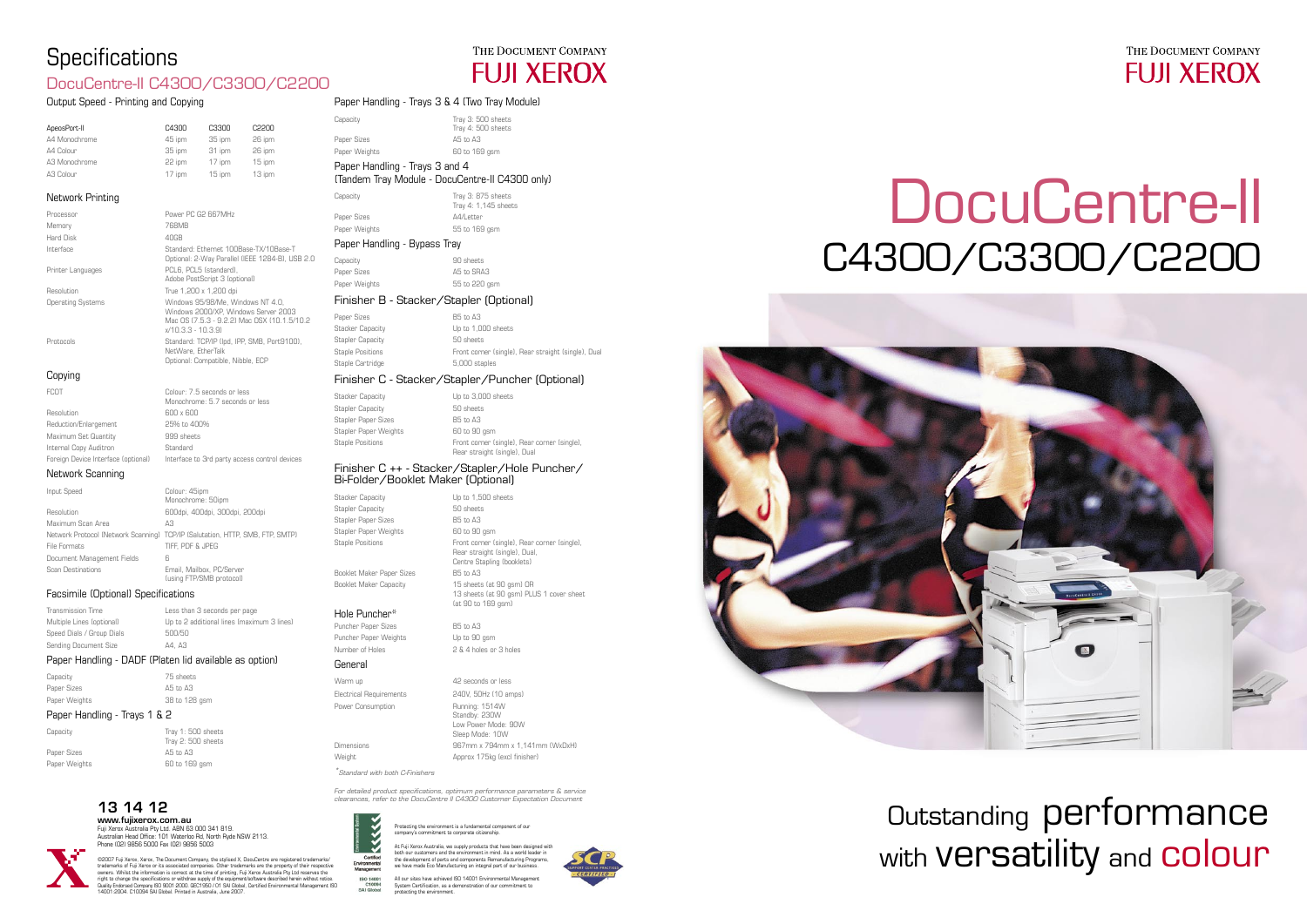## 13 14 12

www.fujixerox.com.au Fuji Xerox Australia Pty Ltd. ABN 63 000 341 819. Australian Head Office: 101 Waterloo Rd, North Ryde NSW 2113. Phone (02) 9856 5000 Fax (02) 9856 5003



©2007 Fuji Xerox, Xerox, The Document Company, the stylised X, DocuCentre are registered trademarks/ trademarks of Fuji Xerox or its associated companies. Other trademarks are the property of their respective<br>owners. Whilst the information is correct at the time of printing, Fuji Xerox Australia Pty Ltd reserves the<br>right 14001:2004. C10094 SAI Global. Printed in Australia, June 2007.



# Outstanding performance with **Versatility** and **colour**

Protecting the environment is a fundamental component of our company's commitment to corporate citizenship.

At Fuji Xerox Australia, we supply products that have been designed with<br>both our customers and the environment in mind. As a world leader in<br>the development of parts and components Remanufacturing Programs,<br>we have made E

ISO 14001 All our sites have achieved ISO 14001 Environmental Management System Certification, as a demonstration of our commitment to  $p$  protecting the environ $p$ 



# C4300/C3300/C2200 DocuCentre-II







### Output Speed - Printing and Copying

| ApeosPort-II  | C4300  | C3300  | C2200  |
|---------------|--------|--------|--------|
| A4 Monochrome | 45 ipm | 35 ipm | 26 ipm |
| A4 Colour     | 35 ipm | 31 ipm | 26 ipm |
| A3 Monochrome | 22 ipm | 17 ipm | 15 ipm |
| A3 Colour     | 17 ipm | 15 ipm | 13 ipm |
|               |        |        |        |

### Network Printing

| Processor                | Power PC G2 667MHz                                                                                                                               |
|--------------------------|--------------------------------------------------------------------------------------------------------------------------------------------------|
| Memory                   | 768MB                                                                                                                                            |
| Hard Disk                | 40GB                                                                                                                                             |
| Interface                | Standard: Ethernet 100Base-TX/10Base-T<br>Optional: 2-Way Parallel (IEEE 1284-B), USB 2.0                                                        |
| Printer Languages        | PCL6. PCL5 (standard).<br>Adobe PostScript 3 (optional)                                                                                          |
| Resolution               | True 1,200 x 1,200 dpi                                                                                                                           |
| <b>Operating Systems</b> | Windows 95/98/Me. Windows NT 4.0.<br>Windows 2000/XP. Windows Server 2003<br>Mac OS (7.5.3 - 9.2.2) Mac OSX (10.1.5/10.2)<br>$x/10.3.3 - 10.3.9$ |
| Protocols                | Standard: TCP/IP (Ipd, IPP, SMB, Port9100),<br>NetWare, EtherTalk<br>Optional: Compatible, Nibble, ECP                                           |
| Copying                  |                                                                                                                                                  |

| <b>FCOT</b>                         | Colour: 7.5 seconds or less<br>Monochrome: 5.7 seconds or less |
|-------------------------------------|----------------------------------------------------------------|
| Resolution                          | 600 x 600                                                      |
| Reduction/Enlargement               | 25% to 400%                                                    |
| Maximum Set Quantity                | 999 sheets                                                     |
| Internal Copy Auditron              | Standard                                                       |
| Foreign Device Interface (optional) | Interface to 3rd party access control devices                  |
|                                     |                                                                |

Stacker Capacity **Capacity** Up to 1,500 sheets Stapler Capacity 60 sheets Stapler Paper Sizes B5 to A3 Stapler Paper Weights 60 to 90 gsm Staple Positions **Front corner (single)**, Rear corner (single) Booklet Maker Paper Sizes B5 to A3 Booklet Maker Capacity 15 sheets (at 90 gsm) OR

Puncher Paper Weights Up to 90 gsm Number of Holes 2 & 4 holes or 3 holes

### Network Scanning

| Input Speed                | Colour: 45ipm                                                                 |
|----------------------------|-------------------------------------------------------------------------------|
|                            | Monochrome: 50ipm                                                             |
| Resolution                 | 600dpi, 400dpi, 300dpi, 200dpi                                                |
| Maximum Scan Area          | ΑЗ                                                                            |
|                            | Network Protocol (Network Scanning) TCP/IP (Salutation, HTTP, SMB, FTP, SMTP) |
| File Formats               | TIFF. PDF & JPEG                                                              |
| Document Management Fields | 6                                                                             |
| <b>Scan Destinations</b>   | Email, Mailbox, PC/Server<br>(using FTP/SMB protocol)                         |

### Facsimile (Optional) Specifications

| Transmission Time         | Less than 3 seconds per page               |
|---------------------------|--------------------------------------------|
| Multiple Lines (optional) | Up to 2 additional lines (maximum 3 lines) |
| Speed Dials / Group Dials | 500/50                                     |
| Sending Document Size     | A4. A3                                     |

### Paper Handling - DADF (Platen lid available as option)

| Capacity      | 75 sheets     |
|---------------|---------------|
| Paper Sizes   | A5 to A3      |
| Paper Weights | 38 to 128 gsm |

### Paper Handling - Trays 1 & 2

| Capacity      | Tray $1:500$ sheets<br>Tray 2: 500 sheets |
|---------------|-------------------------------------------|
| Paper Sizes   | A5 to A3                                  |
| Paper Weights | 60 to 169 asm                             |
|               |                                           |

### Paper Handling - Trays 3 & 4 (Two Tray Module)

|                                         | Paper Handling - Trays 3 & 4 Liwo Tray Module)  |                                            |
|-----------------------------------------|-------------------------------------------------|--------------------------------------------|
|                                         | Capacity                                        | Tray 3: 500 sheets<br>Tray 4: 500 sheets   |
|                                         | Paper Sizes                                     | A5 to A3                                   |
|                                         | Paper Weights                                   | 60 to 169 gsm                              |
| Paper Handling - Trays 3 and 4          |                                                 |                                            |
|                                         | (Tandem Tray Module - DocuCentre-II C4300 only) |                                            |
|                                         | Capacity                                        | Tray 3: 875 sheets<br>Tray 4: 1,145 sheets |
|                                         | Paper Sizes                                     | A4/Letter                                  |
|                                         | Paper Weights                                   | 55 to 169 gsm                              |
| Paper Handling - Bypass Tray            |                                                 |                                            |
|                                         | Capacity                                        | 90 sheets                                  |
|                                         | Paper Sizes                                     | A5 to SRA3                                 |
|                                         | Paper Weights                                   | 55 to 220 gsm                              |
| Finisher B - Stacker/Stapler (Optional) |                                                 |                                            |
|                                         | Paner Sizes                                     | R5 to A3                                   |

| Paper Sizes             | B5 to A3                                            |
|-------------------------|-----------------------------------------------------|
| <b>Stacker Capacity</b> | Up to 1,000 sheets                                  |
| Stapler Capacity        | 50 sheets                                           |
| <b>Staple Positions</b> | Front corner (single), Rear straight (single), Dual |
| Staple Cartridge        | 5.000 staples                                       |
|                         |                                                     |

### Finisher C - Stacker/Stapler/Puncher (Optional)

| <b>Stacker Capacity</b> | Up to 3,000 sheets                                                           |
|-------------------------|------------------------------------------------------------------------------|
| <b>Stapler Capacity</b> | 50 sheets                                                                    |
| Stapler Paper Sizes     | <b>B5</b> to A3                                                              |
| Stapler Paper Weights   | 60 to 90 asm                                                                 |
| <b>Staple Positions</b> | Front corner (single), Rear corner (single),<br>Rear straight (single), Dual |

### Finisher C ++ - Stacker/Stapler/Hole Puncher/ Bi-Folder/Booklet Maker (Optional)

 Rear straight (single), Dual, Centre Stapling (booklets)

13 sheets (at 90 gsm) PLUS 1 cover sheet

(at 90 to 169 gsm)

### Hole Puncher\*

### Puncher Paper Sizes B5 to A3

### General

Warm up **42** seconds or less Electrical Requirements 240V, 50Hz (10 amps) Power Consumption Running: 1514W Standby: 230W Low Power Mode: 90W Sleep Mode: 10W Dimensions 967mm x 794mm x 1,141mm (WxDxH) Weight **Approx 175kg (excl finisher)** 

\*Standard with both C-Finishers

For detailed product specifications, optimum performance parameters & service clearances, refer to the DocuCentre II C4300 Customer Expectation Document



Certif

# **Specifications**

## DocuCentre-II C4300/C3300/C2200